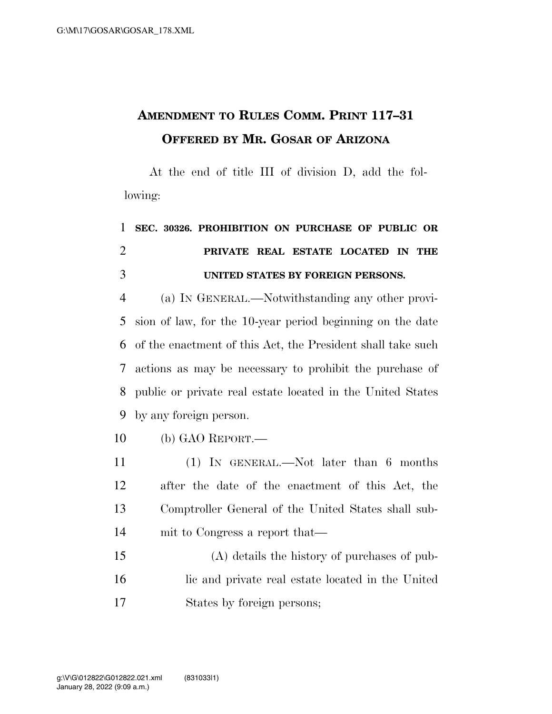## **AMENDMENT TO RULES COMM. PRINT 117–31 OFFERED BY MR. GOSAR OF ARIZONA**

At the end of title III of division D, add the following:

## **SEC. 30326. PROHIBITION ON PURCHASE OF PUBLIC OR PRIVATE REAL ESTATE LOCATED IN THE UNITED STATES BY FOREIGN PERSONS.**

 (a) IN GENERAL.—Notwithstanding any other provi- sion of law, for the 10-year period beginning on the date of the enactment of this Act, the President shall take such actions as may be necessary to prohibit the purchase of public or private real estate located in the United States by any foreign person.

- (b) GAO REPORT.—
- (1) IN GENERAL.—Not later than 6 months after the date of the enactment of this Act, the Comptroller General of the United States shall sub-mit to Congress a report that—
- (A) details the history of purchases of pub- lic and private real estate located in the United States by foreign persons;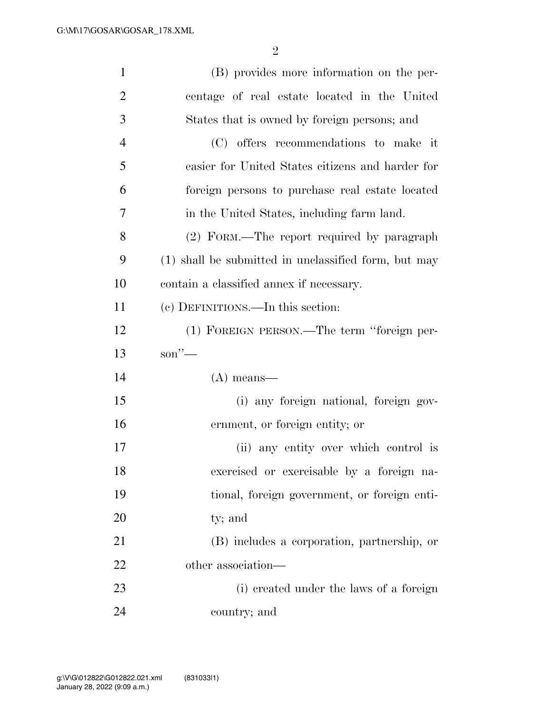| $\mathbf{1}$   | (B) provides more information on the per-            |
|----------------|------------------------------------------------------|
| $\overline{2}$ | centage of real estate located in the United         |
| 3              | States that is owned by foreign persons; and         |
| $\overline{4}$ | (C) offers recommendations to make it                |
| 5              | easier for United States citizens and harder for     |
| 6              | foreign persons to purchase real estate located      |
| 7              | in the United States, including farm land.           |
| 8              | (2) FORM.—The report required by paragraph           |
| 9              | (1) shall be submitted in unclassified form, but may |
| 10             | contain a classified annex if necessary.             |
| 11             | (c) DEFINITIONS.—In this section:                    |
| 12             | (1) FOREIGN PERSON.—The term "foreign per-           |
| 13             | $\text{son}''$ —                                     |
| 14             | $(A)$ means—                                         |
| 15             | (i) any foreign national, foreign gov-               |
| 16             | ernment, or foreign entity; or                       |
| 17             | (ii) any entity over which control is                |
| 18             | exercised or exercisable by a foreign na-            |
| 19             | tional, foreign government, or foreign enti-         |
| 20             | ty; and                                              |
| 21             | (B) includes a corporation, partnership, or          |
| 22             | other association—                                   |
| 23             | (i) created under the laws of a foreign              |
| 24             | country; and                                         |